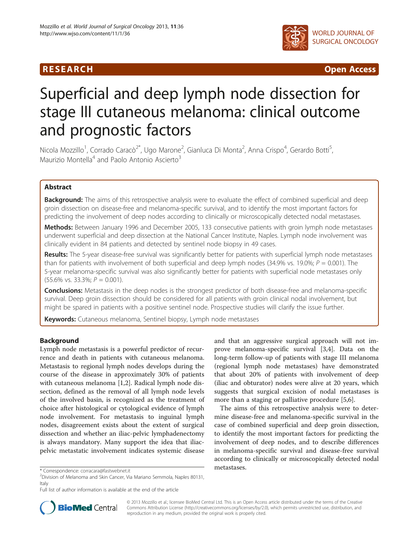

R E S EAR CH Open Access

# Superficial and deep lymph node dissection for stage III cutaneous melanoma: clinical outcome and prognostic factors

Nicola Mozzillo<sup>1</sup>, Corrado Caracò<sup>2\*</sup>, Ugo Marone<sup>2</sup>, Gianluca Di Monta<sup>2</sup>, Anna Crispo<sup>4</sup>, Gerardo Botti<sup>5</sup> , Maurizio Montella<sup>4</sup> and Paolo Antonio Ascierto<sup>3</sup>

# Abstract

**Background:** The aims of this retrospective analysis were to evaluate the effect of combined superficial and deep groin dissection on disease-free and melanoma-specific survival, and to identify the most important factors for predicting the involvement of deep nodes according to clinically or microscopically detected nodal metastases.

Methods: Between January 1996 and December 2005, 133 consecutive patients with groin lymph node metastases underwent superficial and deep dissection at the National Cancer Institute, Naples. Lymph node involvement was clinically evident in 84 patients and detected by sentinel node biopsy in 49 cases.

Results: The 5-year disease-free survival was significantly better for patients with superficial lymph node metastases than for patients with involvement of both superficial and deep lymph nodes (34.9% vs. 19.0%;  $P = 0.001$ ). The 5-year melanoma-specific survival was also significantly better for patients with superficial node metastases only  $(55.6\% \text{ vs. } 33.3\%; P = 0.001).$ 

**Conclusions:** Metastasis in the deep nodes is the strongest predictor of both disease-free and melanoma-specific survival. Deep groin dissection should be considered for all patients with groin clinical nodal involvement, but might be spared in patients with a positive sentinel node. Prospective studies will clarify the issue further.

Keywords: Cutaneous melanoma, Sentinel biopsy, Lymph node metastases

# Background

Lymph node metastasis is a powerful predictor of recurrence and death in patients with cutaneous melanoma. Metastasis to regional lymph nodes develops during the course of the disease in approximately 30% of patients with cutaneous melanoma [[1,2\]](#page-7-0). Radical lymph node dissection, defined as the removal of all lymph node levels of the involved basin, is recognized as the treatment of choice after histological or cytological evidence of lymph node involvement. For metastasis to inguinal lymph nodes, disagreement exists about the extent of surgical dissection and whether an iliac-pelvic lymphadenectomy is always mandatory. Many support the idea that iliacpelvic metastatic involvement indicates systemic disease

metastases. \* Correspondence: [corracara@fastwebnet.it](mailto:corracara@fastwebnet.it) <sup>2</sup>

Full list of author information is available at the end of the article



The aims of this retrospective analysis were to determine disease-free and melanoma-specific survival in the case of combined superficial and deep groin dissection, to identify the most important factors for predicting the involvement of deep nodes, and to describe differences in melanoma-specific survival and disease-free survival according to clinically or microscopically detected nodal



© 2013 Mozzillo et al.; licensee BioMed Central Ltd. This is an Open Access article distributed under the terms of the Creative Commons Attribution License [\(http://creativecommons.org/licenses/by/2.0\)](http://creativecommons.org/licenses/by/2.0), which permits unrestricted use, distribution, and reproduction in any medium, provided the original work is properly cited.

 $2$ Division of Melanoma and Skin Cancer, Via Mariano Semmola, Naples 80131, **Italy**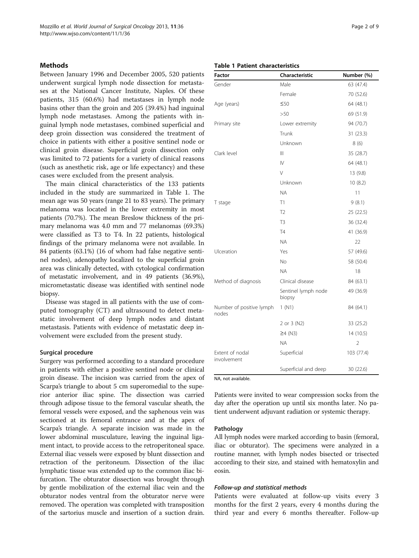# **Methods**

Between January 1996 and December 2005, 520 patients underwent surgical lymph node dissection for metastases at the National Cancer Institute, Naples. Of these patients, 315 (60.6%) had metastases in lymph node basins other than the groin and 205 (39.4%) had inguinal lymph node metastases. Among the patients with inguinal lymph node metastases, combined superficial and deep groin dissection was considered the treatment of choice in patients with either a positive sentinel node or clinical groin disease. Superficial groin dissection only was limited to 72 patients for a variety of clinical reasons (such as anesthetic risk, age or life expectancy) and these cases were excluded from the present analysis.

The main clinical characteristics of the 133 patients included in the study are summarized in Table 1. The mean age was 50 years (range 21 to 83 years). The primary melanoma was located in the lower extremity in most patients (70.7%). The mean Breslow thickness of the primary melanoma was 4.0 mm and 77 melanomas (69.3%) were classified as T3 to T4. In 22 patients, histological findings of the primary melanoma were not available. In 84 patients (63.1%) (16 of whom had false negative sentinel nodes), adenopathy localized to the superficial groin area was clinically detected, with cytological confirmation of metastatic involvement, and in 49 patients (36.9%), micrometastatic disease was identified with sentinel node biopsy.

Disease was staged in all patients with the use of computed tomography (CT) and ultrasound to detect metastatic involvement of deep lymph nodes and distant metastasis. Patients with evidence of metastatic deep involvement were excluded from the present study.

### Surgical procedure

Surgery was performed according to a standard procedure in patients with either a positive sentinel node or clinical groin disease. The incision was carried from the apex of Scarpa's triangle to about 5 cm superomedial to the superior anterior iliac spine. The dissection was carried through adipose tissue to the femoral vascular sheath, the femoral vessels were exposed, and the saphenous vein was sectioned at its femoral entrance and at the apex of Scarpa's triangle. A separate incision was made in the lower abdominal musculature, leaving the inguinal ligament intact, to provide access to the retroperitoneal space. External iliac vessels were exposed by blunt dissection and retraction of the peritoneum. Dissection of the iliac lymphatic tissue was extended up to the common iliac bifurcation. The obturator dissection was brought through by gentle mobilization of the external iliac vein and the obturator nodes ventral from the obturator nerve were removed. The operation was completed with transposition of the sartorius muscle and insertion of a suction drain.

# Table 1 Patient characteristics

| <b>Factor</b>                     | Characteristic                | Number (%) |
|-----------------------------------|-------------------------------|------------|
| Gender                            | Male                          | 63 (47.4)  |
|                                   | Female                        | 70 (52.6)  |
| Age (years)                       | ≤50                           | 64 (48.1)  |
|                                   | >50                           | 69 (51.9)  |
| Primary site                      | Lower extremity               | 94 (70.7)  |
|                                   | Trunk                         | 31(23.3)   |
|                                   | Unknown                       | 8(6)       |
| Clark level                       | Ш                             | 35 (28.7)  |
|                                   | $\mathsf{IV}$                 | 64 (48.1)  |
|                                   | $\vee$                        | 13 (9.8)   |
|                                   | Unknown                       | 10(8.2)    |
|                                   | <b>NA</b>                     | 11         |
| T stage                           | T1                            | 9(8.1)     |
|                                   | T <sub>2</sub>                | 25 (22.5)  |
|                                   | T <sub>3</sub>                | 36 (32.4)  |
|                                   | <b>T4</b>                     | 41 (36.9)  |
|                                   | <b>NA</b>                     | 22         |
| Ulceration                        | Yes                           | 57 (49.6)  |
|                                   | No                            | 58 (50.4)  |
|                                   | <b>NA</b>                     | 18         |
| Method of diagnosis               | Clinical disease              | 84 (63.1)  |
|                                   | Sentinel lymph node<br>biopsy | 49 (36.9)  |
| Number of positive lymph<br>nodes | 1 (N1)                        | 84 (64.1)  |
|                                   | 2 or 3 (N2)                   | 33 (25.2)  |
|                                   | $\geq$ 4 (N3)                 | 14 (10.5)  |
|                                   | ΝA                            | 2          |
| Extent of nodal<br>involvement    | Superficial                   | 103 (77.4) |
|                                   | Superficial and deep          | 30 (22.6)  |

NA, not available.

Patients were invited to wear compression socks from the day after the operation up until six months later. No patient underwent adjuvant radiation or systemic therapy.

#### Pathology

All lymph nodes were marked according to basin (femoral, iliac or obturator). The specimens were analyzed in a routine manner, with lymph nodes bisected or trisected according to their size, and stained with hematoxylin and eosin.

# Follow-up and statistical methods

Patients were evaluated at follow-up visits every 3 months for the first 2 years, every 4 months during the third year and every 6 months thereafter. Follow-up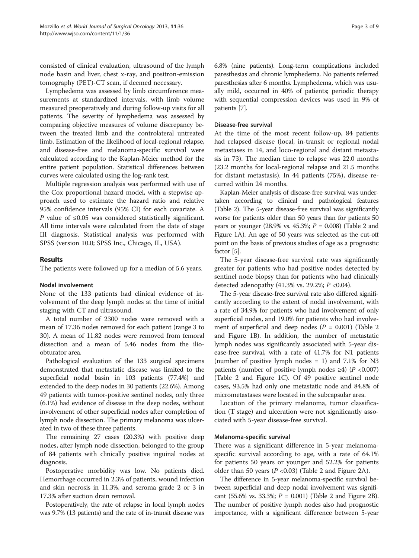consisted of clinical evaluation, ultrasound of the lymph node basin and liver, chest x-ray, and positron-emission tomography (PET)-CT scan, if deemed necessary.

Lymphedema was assessed by limb circumference measurements at standardized intervals, with limb volume measured preoperatively and during follow-up visits for all patients. The severity of lymphedema was assessed by comparing objective measures of volume discrepancy between the treated limb and the controlateral untreated limb. Estimation of the likelihood of local-regional relapse, and disease-free and melanoma-specific survival were calculated according to the Kaplan-Meier method for the entire patient population. Statistical differences between curves were calculated using the log-rank test.

Multiple regression analysis was performed with use of the Cox proportional hazard model, with a stepwise approach used to estimate the hazard ratio and relative 95% confidence intervals (95% CI) for each covariate. A P value of ≤0.05 was considered statistically significant. All time intervals were calculated from the date of stage III diagnosis. Statistical analysis was performed with SPSS (version 10.0; SPSS Inc., Chicago, IL, USA).

# Results

The patients were followed up for a median of 5.6 years.

# Nodal involvement

None of the 133 patients had clinical evidence of involvement of the deep lymph nodes at the time of initial staging with CT and ultrasound.

A total number of 2300 nodes were removed with a mean of 17.36 nodes removed for each patient (range 3 to 30). A mean of 11.82 nodes were removed from femoral dissection and a mean of 5.46 nodes from the ilioobturator area.

Pathological evaluation of the 133 surgical specimens demonstrated that metastatic disease was limited to the superficial nodal basin in 103 patients (77.4%) and extended to the deep nodes in 30 patients (22.6%). Among 49 patients with tumor-positive sentinel nodes, only three (6.1%) had evidence of disease in the deep nodes, without involvement of other superficial nodes after completion of lymph node dissection. The primary melanoma was ulcerated in two of these three patients.

The remaining 27 cases (20.3%) with positive deep nodes, after lymph node dissection, belonged to the group of 84 patients with clinically positive inguinal nodes at diagnosis.

Postoperative morbidity was low. No patients died. Hemorrhage occurred in 2.3% of patients, wound infection and skin necrosis in 11.3%, and seroma grade 2 or 3 in 17.3% after suction drain removal.

Postoperatively, the rate of relapse in local lymph nodes was 9.7% (13 patients) and the rate of in-transit disease was 6.8% (nine patients). Long-term complications included paresthesias and chronic lymphedema. No patients referred paresthesias after 6 months. Lymphedema, which was usually mild, occurred in 40% of patients; periodic therapy with sequential compression devices was used in 9% of patients [[7\]](#page-7-0).

# Disease-free survival

At the time of the most recent follow-up, 84 patients had relapsed disease (local, in-transit or regional nodal metastases in 14, and loco-regional and distant metastasis in 73). The median time to relapse was 22.0 months (23.2 months for local-regional relapse and 21.5 months for distant metastasis). In 44 patients (75%), disease recurred within 24 months.

Kaplan-Meier analysis of disease-free survival was undertaken according to clinical and pathological features (Table [2](#page-3-0)). The 5-year disease-free survival was significantly worse for patients older than 50 years than for patients 50 years or younger (28.9% vs. 45.3%;  $P = 0.008$ ) (Table [2](#page-3-0) and Figure [1A](#page-4-0)). An age of 50 years was selected as the cut-off point on the basis of previous studies of age as a prognostic factor [\[5\]](#page-7-0).

The 5-year disease-free survival rate was significantly greater for patients who had positive nodes detected by sentinel node biopsy than for patients who had clinically detected adenopathy (41.3% vs. 29.2%;  $P$  <0.04).

The 5-year disease-free survival rate also differed significantly according to the extent of nodal involvement, with a rate of 34.9% for patients who had involvement of only superficial nodes, and 19.0% for patients who had involvement of superficial and deep nodes ( $P = 0.001$ ) (Table [2](#page-3-0) and Figure [1](#page-4-0)B). In addition, the number of metastatic lymph nodes was significantly associated with 5-year disease-free survival, with a rate of 41.7% for N1 patients (number of positive lymph nodes  $= 1$ ) and 7.1% for N3 patients (number of positive lymph nodes  $\geq 4$ ) (P < 0.007) (Table [2](#page-3-0) and Figure [1C](#page-4-0)). Of 49 positive sentinel node cases, 93.5% had only one metastatic node and 84.8% of micrometastases were located in the subcapsular area.

Location of the primary melanoma, tumor classification (T stage) and ulceration were not significantly associated with 5-year disease-free survival.

# Melanoma-specific survival

There was a significant difference in 5-year melanomaspecific survival according to age, with a rate of 64.1% for patients 50 years or younger and 52.2% for patients older than 50 years ( $P < 0.03$ ) (Table [2](#page-3-0) and Figure [2A](#page-5-0)).

The difference in 5-year melanoma-specific survival between superficial and deep nodal involvement was significant (55.6% vs. 33.3%;  $P = 0.001$ ) (Table [2](#page-3-0) and Figure [2B](#page-5-0)). The number of positive lymph nodes also had prognostic importance, with a significant difference between 5-year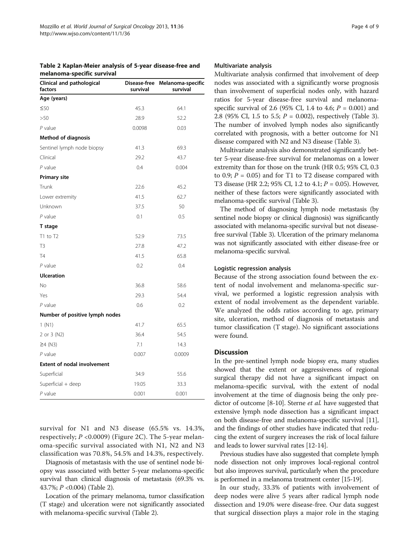<span id="page-3-0"></span>

| Table 2 Kaplan-Meier analysis of 5-year disease-free and |  |  |
|----------------------------------------------------------|--|--|
| melanoma-specific survival                               |  |  |

| meianoma-specific survival           |                          |                               |  |  |
|--------------------------------------|--------------------------|-------------------------------|--|--|
| Clinical and pathological<br>factors | Disease-free<br>survival | Melanoma-specific<br>survival |  |  |
| Age (years)                          |                          |                               |  |  |
| $\leq 50$                            | 45.3                     | 64.1                          |  |  |
| >50                                  | 28.9                     | 52.2                          |  |  |
| $P$ value                            | 0.0098                   | 0.03                          |  |  |
| <b>Method of diagnosis</b>           |                          |                               |  |  |
| Sentinel lymph node biopsy           | 41.3                     | 69.3                          |  |  |
| Clinical                             | 29.2                     | 43.7                          |  |  |
| $P$ value                            | 0.4                      | 0.004                         |  |  |
| <b>Primary site</b>                  |                          |                               |  |  |
| Trunk                                | 22.6                     | 45.2                          |  |  |
| Lower extremity                      | 41.5                     | 62.7                          |  |  |
| Unknown                              | 37.5                     | 50                            |  |  |
| $P$ value                            | 0.1                      | 0.5                           |  |  |
| T stage                              |                          |                               |  |  |
| $T1$ to $T2$                         | 52.9                     | 73.5                          |  |  |
| T <sub>3</sub>                       | 27.8                     | 47.2                          |  |  |
| <b>T4</b>                            | 41.5                     | 65.8                          |  |  |
| $P$ value                            | 0.2                      | 0.4                           |  |  |
| <b>Ulceration</b>                    |                          |                               |  |  |
| <b>No</b>                            | 36.8                     | 58.6                          |  |  |
| Yes                                  | 29.3                     | 54.4                          |  |  |
| P value                              | 0.6                      | 0.2                           |  |  |
| Number of positive lymph nodes       |                          |                               |  |  |
| 1 (N1)                               | 41.7                     | 65.5                          |  |  |
| 2 or 3 (N2)                          | 36.4                     | 54.5                          |  |  |
| $\geq$ 4 (N3)                        | 7.1                      | 14.3                          |  |  |
| $P$ value                            | 0.007<br>0.0009          |                               |  |  |
| <b>Extent of nodal involvement</b>   |                          |                               |  |  |
| Superficial                          | 34.9<br>55.6             |                               |  |  |
| Superficial + deep                   | 19.05                    | 33.3                          |  |  |
| $P$ value                            | 0.001                    | 0.001                         |  |  |
|                                      |                          |                               |  |  |

survival for N1 and N3 disease (65.5% vs. 14.3%, respectively; P <0.0009) (Figure [2](#page-5-0)C). The 5-year melanoma-specific survival associated with N1, N2 and N3 classification was 70.8%, 54.5% and 14.3%, respectively.

Diagnosis of metastasis with the use of sentinel node biopsy was associated with better 5-year melanoma-specific survival than clinical diagnosis of metastasis (69.3% vs. 43.7%; P <0.004) (Table 2).

Location of the primary melanoma, tumor classification (T stage) and ulceration were not significantly associated with melanoma-specific survival (Table 2).

#### Multivariate analysis

Multivariate analysis confirmed that involvement of deep nodes was associated with a significantly worse prognosis than involvement of superficial nodes only, with hazard ratios for 5-year disease-free survival and melanomaspecific survival of 2.6 (95% CI, 1.4 to 4.6;  $P = 0.001$ ) and 2.8 (95% CI, 1.5 to 5.5;  $P = 0.002$ ), respectively (Table [3](#page-6-0)). The number of involved lymph nodes also significantly correlated with prognosis, with a better outcome for N1 disease compared with N2 and N3 disease (Table [3\)](#page-6-0).

Multivariate analysis also demonstrated significantly better 5-year disease-free survival for melanomas on a lower extremity than for those on the trunk (HR 0.5; 95% CI, 0.3 to 0.9;  $P = 0.05$ ) and for T1 to T2 disease compared with T3 disease (HR 2.2; 95% CI, 1.2 to 4.1;  $P = 0.05$ ). However, neither of these factors were significantly associated with melanoma-specific survival (Table [3\)](#page-6-0).

The method of diagnosing lymph node metastasis (by sentinel node biopsy or clinical diagnosis) was significantly associated with melanoma-specific survival but not diseasefree survival (Table [3\)](#page-6-0). Ulceration of the primary melanoma was not significantly associated with either disease-free or melanoma-specific survival.

# Logistic regression analysis

Because of the strong association found between the extent of nodal involvement and melanoma-specific survival, we performed a logistic regression analysis with extent of nodal involvement as the dependent variable. We analyzed the odds ratios according to age, primary site, ulceration, method of diagnosis of metastasis and tumor classification (T stage). No significant associations were found.

# Discussion

In the pre-sentinel lymph node biopsy era, many studies showed that the extent or aggressiveness of regional surgical therapy did not have a significant impact on melanoma-specific survival, with the extent of nodal involvement at the time of diagnosis being the only pre-dictor of outcome [\[8-10\]](#page-7-0). Sterne et al. have suggested that extensive lymph node dissection has a significant impact on both disease-free and melanoma-specific survival [[11](#page-7-0)], and the findings of other studies have indicated that reducing the extent of surgery increases the risk of local failure and leads to lower survival rates [\[12-14\]](#page-7-0).

Previous studies have also suggested that complete lymph node dissection not only improves local-regional control but also improves survival, particularly when the procedure is performed in a melanoma treatment center [[15](#page-7-0)-[19\]](#page-7-0).

In our study, 33.3% of patients with involvement of deep nodes were alive 5 years after radical lymph node dissection and 19.0% were disease-free. Our data suggest that surgical dissection plays a major role in the staging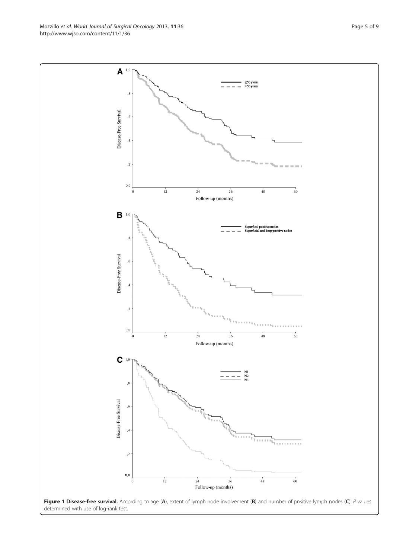<span id="page-4-0"></span>Mozzillo et al. World Journal of Surgical Oncology 2013, 11:36 extending the Surface State Page 5 of 9 http://www.wjso.com/content/11/1/36

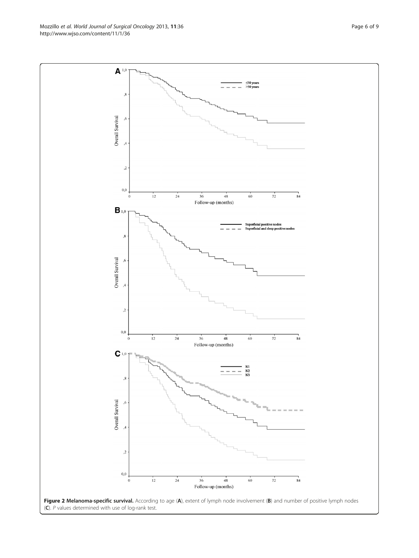<span id="page-5-0"></span>Mozzillo et al. World Journal of Surgical Oncology 2013, 11:36 Page 6 of 9 http://www.wjso.com/content/11/1/36

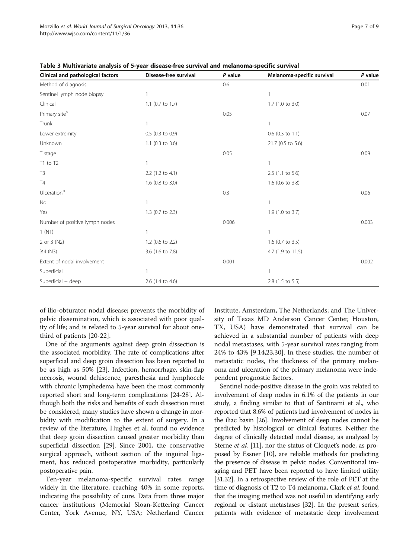| Clinical and pathological factors | Disease-free survival | P value | Melanoma-specific survival | P value |
|-----------------------------------|-----------------------|---------|----------------------------|---------|
| Method of diagnosis               |                       | 0.6     |                            | 0.01    |
| Sentinel lymph node biopsy        |                       |         | 1                          |         |
| Clinical                          | 1.1 (0.7 to 1.7)      |         | 1.7 (1.0 to 3.0)           |         |
| Primary site <sup>a</sup>         |                       | 0.05    |                            | 0.07    |
| Trunk                             |                       |         | 1                          |         |
| Lower extremity                   | $0.5$ (0.3 to 0.9)    |         | $0.6$ (0.3 to 1.1)         |         |
| Unknown                           | 1.1 (0.3 to 3.6)      |         | 21.7 (0.5 to 5.6)          |         |
| T stage                           |                       | 0.05    |                            | 0.09    |
| T1 to T2                          |                       |         | 1                          |         |
| T <sub>3</sub>                    | 2.2 (1.2 to 4.1)      |         | $2.5$ (1.1 to 5.6)         |         |
| <b>T4</b>                         | 1.6 (0.8 to 3.0)      |         | 1.6 (0.6 to 3.8)           |         |
| Ulcerationb                       |                       | 0.3     |                            | 0.06    |
| No                                |                       |         | 1                          |         |
| Yes                               | 1.3 (0.7 to 2.3)      |         | 1.9 (1.0 to 3.7)           |         |
| Number of positive lymph nodes    |                       | 0.006   |                            | 0.003   |
| 1(N1)                             |                       |         | 1                          |         |
| 2 or 3 (N2)                       | 1.2 (0.6 to 2.2)      |         | 1.6 (0.7 to 3.5)           |         |
| $\geq$ 4 (N3)                     | 3.6 (1.6 to 7.8)      |         | 4.7 (1.9 to 11.5)          |         |
| Extent of nodal involvement       |                       | 0.001   |                            | 0.002   |
| Superficial                       |                       |         | 1                          |         |
| Superficial + deep                | 2.6 (1.4 to 4.6)      |         | 2.8 (1.5 to 5.5)           |         |

<span id="page-6-0"></span>Table 3 Multivariate analysis of 5-year disease-free survival and melanoma-specific survival

of ilio-obturator nodal disease; prevents the morbidity of pelvic dissemination, which is associated with poor quality of life; and is related to 5-year survival for about onethird of patients [[20-](#page-7-0)[22](#page-8-0)].

One of the arguments against deep groin dissection is the associated morbidity. The rate of complications after superficial and deep groin dissection has been reported to be as high as 50% [\[23](#page-8-0)]. Infection, hemorrhage, skin-flap necrosis, wound dehiscence, paresthesia and lymphocele with chronic lymphedema have been the most commonly reported short and long-term complications [[24](#page-8-0)-[28](#page-8-0)]. Although both the risks and benefits of such dissection must be considered, many studies have shown a change in morbidity with modification to the extent of surgery. In a review of the literature, Hughes et al. found no evidence that deep groin dissection caused greater morbidity than superficial dissection [\[29\]](#page-8-0). Since 2001, the conservative surgical approach, without section of the inguinal ligament, has reduced postoperative morbidity, particularly postoperative pain.

Ten-year melanoma-specific survival rates range widely in the literature, reaching 40% in some reports, indicating the possibility of cure. Data from three major cancer institutions (Memorial Sloan-Kettering Cancer Center, York Avenue, NY, USA; Netherland Cancer Institute, Amsterdam, The Netherlands; and The University of Texas MD Anderson Cancer Center, Houston, TX, USA) have demonstrated that survival can be achieved in a substantial number of patients with deep nodal metastases, with 5-year survival rates ranging from 24% to 43% [\[9,14](#page-7-0)[,23,30](#page-8-0)]. In these studies, the number of metastatic nodes, the thickness of the primary melanoma and ulceration of the primary melanoma were independent prognostic factors.

Sentinel node-positive disease in the groin was related to involvement of deep nodes in 6.1% of the patients in our study, a finding similar to that of Santinami et al., who reported that 8.6% of patients had involvement of nodes in the iliac basin [\[26\]](#page-8-0). Involvement of deep nodes cannot be predicted by histological or clinical features. Neither the degree of clinically detected nodal disease, as analyzed by Sterne *et al.* [\[11\]](#page-7-0), nor the status of Cloquet's node, as proposed by Essner [\[10](#page-7-0)], are reliable methods for predicting the presence of disease in pelvic nodes. Conventional imaging and PET have been reported to have limited utility [[31,32\]](#page-8-0). In a retrospective review of the role of PET at the time of diagnosis of T2 to T4 melanoma, Clark et al. found that the imaging method was not useful in identifying early regional or distant metastases [\[32\]](#page-8-0). In the present series, patients with evidence of metastatic deep involvement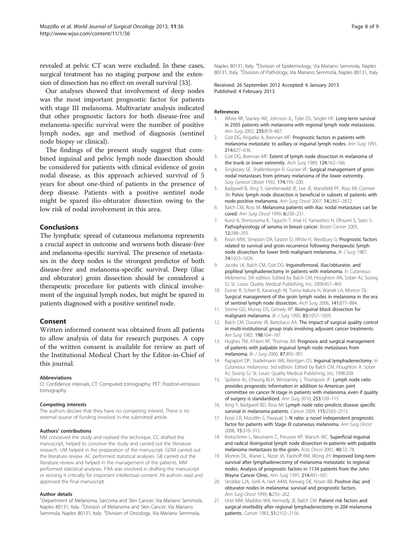<span id="page-7-0"></span>revealed at pelvic CT scan were excluded. In these cases, surgical treatment has no staging purpose and the extension of dissection has no effect on overall survival [[33](#page-8-0)].

Our analyses showed that involvement of deep nodes was the most important prognostic factor for patients with stage III melanoma. Multivariate analysis indicated that other prognostic factors for both disease-free and melanoma-specific survival were the number of positive lymph nodes, age and method of diagnosis (sentinel node biopsy or clinical).

The findings of the present study suggest that combined inguinal and pelvic lymph node dissection should be considered for patients with clinical evidence of groin nodal disease, as this approach achieved survival of 5 years for about one-third of patients in the presence of deep disease. Patients with a positive sentinel node might be spared ilio-obturator dissection owing to the low risk of nodal involvement in this area.

# Conclusions

The lymphatic spread of cutaneous melanoma represents a crucial aspect in outcome and worsens both disease-free and melanoma-specific survival. The presence of metastases in the deep nodes is the strongest predictor of both disease-free and melanoma-specific survival. Deep (iliac and obturator) groin dissection should be considered a therapeutic procedure for patients with clinical involvement of the inguinal lymph nodes, but might be spared in patients diagnosed with a positive sentinel node.

# Consent

Written informed consent was obtained from all patients to allow analysis of data for research purposes. A copy of the written consent is available for review as part of the Institutional Medical Chart by the Editor-in-Chief of this journal.

#### Abbreviations

CI: Confidence intervals; CT: Computed tomography; PET: Positron-emission tomography.

#### Competing interests

The authors declare that they have no competing interest. There is no external source of funding involved in the submitted article.

#### Authors' contributions

NM conceived the study and realized the technique. CC drafted the manuscript, helped to conceive the study and carried out the literature research. UM helped in the preparation of the manuscript. GDM carried out the literature review. AC performed statistical analyses. GB carried out the literature review and helped in the management of the patients. MM performed statistical analyses. PAA was involved in drafting the manuscript or revising it critically for important intellectual content. All authors read and approved the final manuscript.

#### Author details

<sup>1</sup>Department of Melanoma, Sarcoma and Skin Cancer, Via Mariano Semmola, Naples 80131, Italy. <sup>2</sup>Division of Melanoma and Skin Cancer, Via Mariano Semmola, Naples 80131, Italy. <sup>3</sup>Division of Oncology, Via Mariano Semmola,

Naples 80131, Italy. <sup>4</sup>Division of Epidemiology, Via Mariano Semmola, Naples 80131, Italy. <sup>5</sup> Division of Pathology, Via Mariano Semmola, Naples 80131, Italy.

Received: 26 September 2012 Accepted: 6 January 2013 Published: 4 February 2013

#### References

- White RR, Stanley WE, Johnson JL, Tyler DS, Seigler HF: Long-term survival in 2505 patients with melanoma with regional lymph node metastases. Ann Surg 2002, 235:879–887.
- 2. Coit DG, Rogatko A, Brennan MF: Prognostic factors in patients with melanoma metastatic to axillary or inguinal lymph nodes. Ann Surg 1991, 214:627–636.
- 3. Coit DG, Brennan MF: Extent of lymph node dissection in melanoma of the trunk or lower extremity. Arch Surg 1989, 124:162-166.
- 4. Singletary SE, Shallenberger R, Guinee VF: Surgical management of groin nodal metastases from primary melanoma of the lower extremity. Surg Gynecol Obstet 1992, 174:195-200.
- 5. Badgwell B, Xing Y, Gershenwald JE, Lee JE, Mansfield PF, Ross MI, Cormier JN: Pelvic lymph node dissection is beneficial in subsets of patients with node-positive melanoma. Ann Surg Oncol 2007, 14:2867–2872.
- 6. Balch CM, Ross M: Melanoma patients with iliac nodal metastases can be cured. Ann Surg Oncol 1999, 6:230–231.
- 7. Kuroi K, Shimozuma K, Taguchi T, Imai H, Yamashiro H, Ohsumi S, Saito S: Pathophysiology of seroma in breast cancer. Breast Cancer 2005, 12:288–293.
- 8. Kissin MW, Simpson DA, Easton D, White H, Westbury G: Prognostic factors related to survival and groin recurrence following therapeutic lymph node dissection for lower limb malignant melanoma. Br J Surg 1987, 74:1023–1026.
- 9. Jacobs LK, Balch CM, Coit DG: Inguinofemoral, iliac/obturator, and popliteal lymphadenectomy in patients with melanoma. In Cutaneous Melanoma. 5th edition. Edited by Balch CM, Houghton AN, Sober AJ, Soong SJ. St. Louis: Quality Medical Publishing, Inc; 2009:457–469.
- 10. Essner R, Scheri R, Kavanagh M, Torisu-Itakura H, Wanek LA, Morton DL: Surgical management of the groin lymph nodes in melanoma in the era of sentinel lymph node dissection. Arch Surg 2006, 141:877–884.
- 11. Sterne GD, Murray DS, Grimely RP: Ilioinguinal block dissection for malignant melanoma. Br J Surg 1995, 83:1057–1059.
- 12. Balch CM, Durante JR, Bartolucci AA: The impact of surgical quality control in multi-institutional group trials involving adjuvant cancer treatments. Am Surg 1983, 198:164–167.
- 13. Hughes TM, A'Hern RP, Thomas JM: Prognosis and surgical management of patients with palpable inguinal lymph node metastases from melanoma. Br J Surg 2000, 87:892–901.
- 14. Rapaport DP, Stadelmann WK, Reintgen DS: Inguinal lymphadenectomy. In Cutaneous melanoma. 3rd edition. Edited by Balch CM, Houghton A, Sober AJ, Soong SJ. St. Louis: Quality Medical Publishing, Inc; 1998:209.
- 15. Spillane AJ, Cheung BLH, Winstanley J, Thompson JF: Lymph node ratio provides prognostic information in addition to American joint committee on cancer N stage in patients with melanoma, even if quality of surgery is standardized. Ann Surg 2010, 253:109–115.
- 16. Xing Y, Badgwell BD, Ross MI: Lymph node ratio predicts disease specific survival in melanoma patients. Cancer 2009, 115:2503–2513.
- 17. Rossi CR, Mocellin S, Pasquali S: N ratio: a novel independent prognostic factor for patients with Stage III cutaneous melanoma. Ann Surg Oncol 2008, 15:310–315.
- 18. Kretschmer L, Neumann C, Preusser KP, Marsch WC: Superficial inguinal and radical ilioinguinal lymph node dissection in patients with palpable melanoma metastases to the groin. Acta Oncol 2001, 40:72–78.
- 19. Morton DL, Wanel L, Nizze JA, Elashoff RM, Wong JH: Improved long-term survival after lymphadenectomy of melanoma metastatic to regional nodes. Analysis of prognostic factors in 1134 patients from the John Wayne Cancer Clinic. Ann Surg 1991, 214:491–501.
- 20. Strobbe LJA, Jonk A, Hart AAM, Nieweg OE, Kroon BB: Positive iliac and obturator nodes in melanoma: survival and prognostic factors. Ann Surg Oncol 1999, 6:255-262.
- 21. Urist MM, Maddox WA, Kennedy JE, Balch CM: Patient risk factors and surgical morbidity after regional lymphadenectomy in 204 melanoma patients. Cancer 1983, 51:2152–2156.